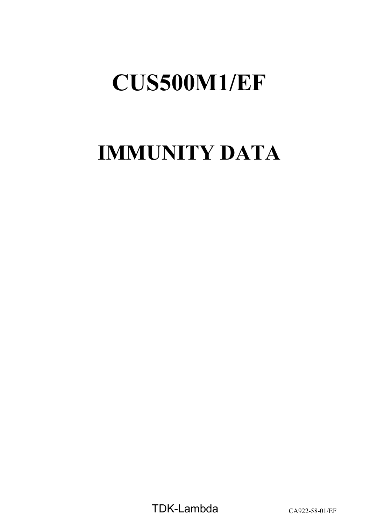# IMMUNITY DATA

TDK-Lambda CA922-58-01/EF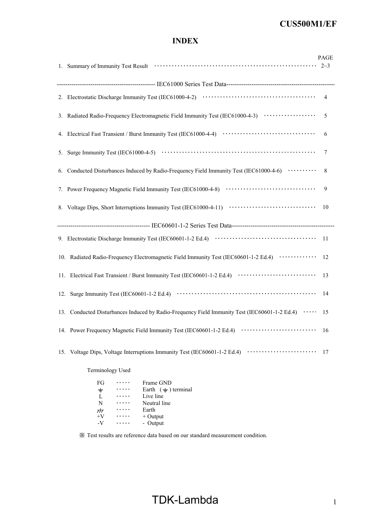# INDEX

|    |                                                                                                       | PAGE |
|----|-------------------------------------------------------------------------------------------------------|------|
|    |                                                                                                       |      |
|    |                                                                                                       |      |
|    |                                                                                                       |      |
|    | 3. Radiated Radio-Frequency Electromagnetic Field Immunity Test (IEC61000-4-3) ···················    | - 5  |
|    |                                                                                                       | -6   |
| 5. |                                                                                                       |      |
|    |                                                                                                       |      |
|    |                                                                                                       |      |
|    |                                                                                                       |      |
|    |                                                                                                       |      |
|    |                                                                                                       |      |
|    | 10. Radiated Radio-Frequency Electromagnetic Field Immunity Test (IEC60601-1-2 Ed.4) ············· 12 |      |
|    |                                                                                                       |      |
|    |                                                                                                       |      |
|    | 13. Conducted Disturbances Induced by Radio-Frequency Field Immunity Test (IEC60601-1-2 Ed.4)  15     |      |
|    |                                                                                                       |      |
|    |                                                                                                       |      |
|    | Terminology Used                                                                                      |      |

| FG               | Frame GND                      |
|------------------|--------------------------------|
| $\div$           | Earth $(\frac{1}{x})$ terminal |
| L                | Live line                      |
| N                | Neutral line                   |
| $\overline{\pi}$ | Earth                          |
| $+V$             | $+$ Output                     |
| $-V$             | - Output                       |
|                  |                                |

※ Test results are reference data based on our standard measurement condition.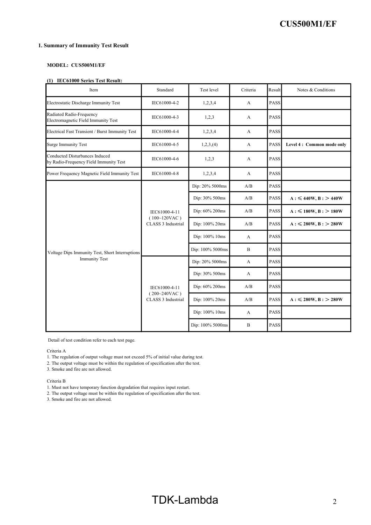#### 1. Summary of Immunity Test Result

#### MODEL: CUS500M1/EF

#### (1) IEC61000 Series Test Result:

| Item                                                                     | Standard                                               | Test level       | Criteria | Result      | Notes & Conditions        |
|--------------------------------------------------------------------------|--------------------------------------------------------|------------------|----------|-------------|---------------------------|
| Electrostatic Discharge Immunity Test                                    | IEC61000-4-2                                           | 1,2,3,4          | A        | <b>PASS</b> |                           |
| Radiated Radio-Frequency<br>Electromagnetic Field Immunity Test          | IEC61000-4-3                                           | 1,2,3            | A        | <b>PASS</b> |                           |
| Electrical Fast Transient / Burst Immunity Test                          | IEC61000-4-4                                           | 1,2,3,4          | A        | <b>PASS</b> |                           |
| <b>Surge Immunity Test</b>                                               | IEC61000-4-5                                           | 1,2,3, (4)       | A        | <b>PASS</b> | Level 4: Common mode only |
| Conducted Disturbances Induced<br>by Radio-Frequency Field Immunity Test | IEC61000-4-6                                           | 1,2,3            | A        | <b>PASS</b> |                           |
| Power Frequency Magnetic Field Immunity Test                             | IEC61000-4-8                                           | 1,2,3,4          | A        | <b>PASS</b> |                           |
|                                                                          | IEC61000-4-11<br>$(100~120$ VAC)<br>CLASS 3 Industrial | Dip: 20% 5000ms  | A/B      | <b>PASS</b> |                           |
|                                                                          |                                                        | Dip: 30% 500ms   | A/B      | <b>PASS</b> | $A: \leq 440W, B: > 440W$ |
|                                                                          |                                                        | Dip: 60% 200ms   | A/B      | <b>PASS</b> | $A: \leq 180W, B: > 180W$ |
|                                                                          |                                                        | Dip: 100% 20ms   | A/B      | <b>PASS</b> | $A: \leq 280W, B: > 280W$ |
|                                                                          |                                                        | Dip: 100% 10ms   | A        | <b>PASS</b> |                           |
| Voltage Dips Immunity Test, Short Interruptions                          |                                                        | Dip: 100% 5000ms | B        | <b>PASS</b> |                           |
| <b>Immunity Test</b>                                                     |                                                        | Dip: 20% 5000ms  | A        | <b>PASS</b> |                           |
|                                                                          |                                                        | Dip: 30% 500ms   | A        | <b>PASS</b> |                           |
|                                                                          | IEC61000-4-11                                          | Dip: 60% 200ms   | A/B      | PASS        |                           |
|                                                                          | $(200~240$ VAC)<br>CLASS 3 Industrial                  | Dip: 100% 20ms   | A/B      | PASS        | $A: \leq 280W, B: > 280W$ |
|                                                                          |                                                        | Dip: 100% 10ms   | A        | <b>PASS</b> |                           |
|                                                                          |                                                        | Dip: 100% 5000ms | B        | <b>PASS</b> |                           |

Detail of test condition refer to each test page.

Criteria A

1. The regulation of output voltage must not exceed 5% of initial value during test.

2. The output voltage must be within the regulation of specification after the test.

3. Smoke and fire are not allowed.

Criteria B

1. Must not have temporary function degradation that requires input restart.

2. The output voltage must be within the regulation of specification after the test.

3. Smoke and fire are not allowed.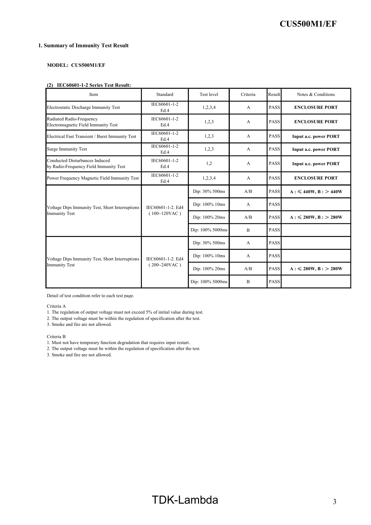# 1. Summary of Immunity Test Result

# MODEL: CUS500M1/EF

# (2) IEC60601-1-2 Series Test Result:

| Item                                                                     | Standard                             | Test level       | Criteria       | Result      | Notes & Conditions           |
|--------------------------------------------------------------------------|--------------------------------------|------------------|----------------|-------------|------------------------------|
| Electrostatic Discharge Immunity Test                                    | IEC60601-1-2<br>Ed.4                 | 1,2,3,4          | $\mathsf{A}$   | <b>PASS</b> | <b>ENCLOSURE PORT</b>        |
| Radiated Radio-Frequency<br>Electromagnetic Field Immunity Test          | IEC60601-1-2<br>Ed.4                 | 1,2,3            | $\mathsf{A}$   | <b>PASS</b> | <b>ENCLOSURE PORT</b>        |
| Electrical Fast Transient / Burst Immunity Test                          | IEC60601-1-2<br>Ed.4                 | 1,2,3            | A              | <b>PASS</b> | <b>Input a.c. power PORT</b> |
| <b>Surge Immunity Test</b>                                               | IEC60601-1-2<br>Ed.4                 | 1,2,3            | A              | <b>PASS</b> | Input a.c. power PORT        |
| Conducted Disturbances Induced<br>by Radio-Frequency Field Immunity Test | IEC60601-1-2<br>Ed.4                 | 1,2              | A              | <b>PASS</b> | <b>Input a.c. power PORT</b> |
| Power Frequency Magnetic Field Immunity Test                             | IEC60601-1-2<br>Ed.4                 | 1,2,3,4          | A              | <b>PASS</b> | <b>ENCLOSURE PORT</b>        |
|                                                                          | IEC60601-1-2. Ed4<br>$(100~120$ VAC) | Dip: 30% 500ms   | A/B            | <b>PASS</b> | $A: \leq 440W, B: > 440W$    |
| Voltage Dips Immunity Test, Short Interruptions                          |                                      | Dip: 100% 10ms   | A              | <b>PASS</b> |                              |
| <b>Immunity Test</b>                                                     |                                      | Dip: 100% 20ms   | A/B            | <b>PASS</b> | $A: \leq 280W, B: > 280W$    |
|                                                                          |                                      | Dip: 100% 5000ms | $\overline{B}$ | <b>PASS</b> |                              |
|                                                                          | IEC60601-1-2. Ed4<br>$(200~240$ VAC) | Dip: 30% 500ms   | $\mathbf{A}$   | <b>PASS</b> |                              |
| Voltage Dips Immunity Test, Short Interruptions                          |                                      | Dip: 100% 10ms   | $\mathbf{A}$   | <b>PASS</b> |                              |
| <b>Immunity Test</b>                                                     |                                      | Dip: 100% 20ms   | A/B            | <b>PASS</b> | $A: \leq 280W, B: > 280W$    |
|                                                                          |                                      | Dip: 100% 5000ms | B              | <b>PASS</b> |                              |

Detail of test condition refer to each test page.

Criteria A

1. The regulation of output voltage must not exceed 5% of initial value during test.

2. The output voltage must be within the regulation of specification after the test.

3. Smoke and fire are not allowed.

Criteria B

1. Must not have temporary function degradation that requires input restart.

2. The output voltage must be within the regulation of specification after the test.

3. Smoke and fire are not allowed.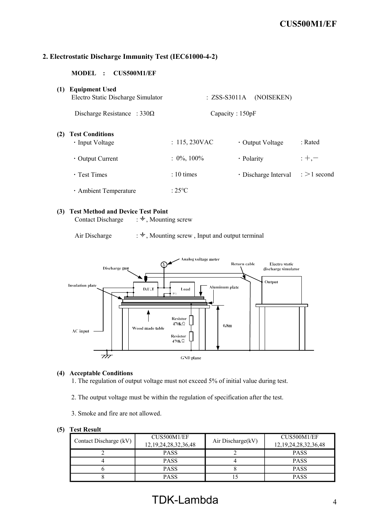# 2. Electrostatic Discharge Immunity Test (IEC61000-4-2)

MODEL : CUS500M1/EF

| (1) | <b>Equipment Used</b><br>Electro Static Discharge Simulator | $: ZSS-S3011A$   | (NOISEKEN)           |                       |
|-----|-------------------------------------------------------------|------------------|----------------------|-----------------------|
|     | Discharge Resistance : $330\Omega$                          |                  | Capacity : $150pF$   |                       |
| (2) | <b>Test Conditions</b><br>• Input Voltage                   | $: 115, 230$ VAC | • Output Voltage     | : Rated               |
|     | $\cdot$ Output Current                                      | $: 0\%, 100\%$   | $\cdot$ Polarity     | $: +, -$              |
|     | $\cdot$ Test Times                                          | $: 10 \times$    | · Discharge Interval | $\epsilon > 1$ second |
|     | · Ambient Temperature                                       | $\cdot$ 25°C     |                      |                       |

# (3) Test Method and Device Test Point

Contact Discharge  $\cdot \neq$ , Mounting screw

Air Discharge  $\cdot \neq$ , Mounting screw, Input and output terminal



#### (4) Acceptable Conditions

1. The regulation of output voltage must not exceed 5% of initial value during test.

2. The output voltage must be within the regulation of specification after the test.

3. Smoke and fire are not allowed.

| Contact Discharge (kV) | CUS500M1/EF<br>12, 19, 24, 28, 32, 36, 48 | Air Discharge(kV) | CUS500M1/EF<br>12, 19, 24, 28, 32, 36, 48 |
|------------------------|-------------------------------------------|-------------------|-------------------------------------------|
|                        | <b>PASS</b>                               |                   | <b>PASS</b>                               |
|                        | <b>PASS</b>                               |                   | <b>PASS</b>                               |
|                        | <b>PASS</b>                               |                   | <b>PASS</b>                               |
|                        | <b>PASS</b>                               |                   | <b>PASS</b>                               |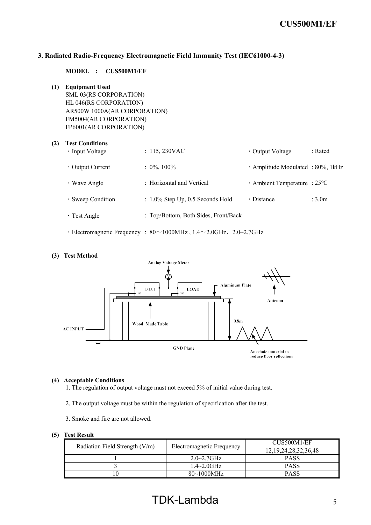# 3. Radiated Radio-Frequency Electromagnetic Field Immunity Test (IEC61000-4-3)

#### MODEL : CUS500M1/EF

(1) Equipment Used SML 03(RS CORPORATION) HL 046(RS CORPORATION) AR500W 1000A(AR CORPORATION) FM5004(AR CORPORATION) FP6001(AR CORPORATION)

# (2) Test Conditions

- Input Voltage : 115, 230VAC Output Voltage : Rated • Output Current : 0%, 100% · Current : 0%, 100% · Amplitude Modulated : 80%, 1kHz ・Wave Angle : Horizontal and Vertical ・Ambient Temperature : 25℃ • Sweep Condition : 1.0% Step Up, 0.5 Seconds Hold • Distance : 3.0m ・Test Angle : Top/Bottom, Both Sides, Front/Back
- $\cdot$  Electromagnetic Frequency : 80 $\sim$ 1000MHz, 1.4 $\sim$ 2.0GHz, 2.0~2.7GHz



#### (4) Acceptable Conditions

1. The regulation of output voltage must not exceed 5% of initial value during test.

- 2. The output voltage must be within the regulation of specification after the test.
- 3. Smoke and fire are not allowed.

#### (5) Test Result

| Radiation Field Strength $(V/m)$ | Electromagnetic Frequency | CUS500M1/EF<br>12, 19, 24, 28, 32, 36, 48 |
|----------------------------------|---------------------------|-------------------------------------------|
|                                  | $2.0 - 2.7$ GHz           | <b>PASS</b>                               |
|                                  | $1.4 - 2.0$ GHz           | <b>PASS</b>                               |
|                                  | $80 - 1000 MHz$           | <b>PASS</b>                               |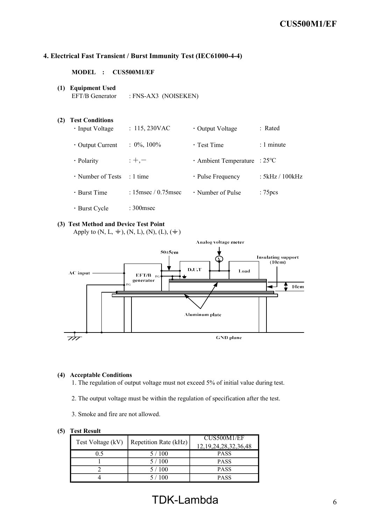# 4. Electrical Fast Transient / Burst Immunity Test (IEC61000-4-4)

MODEL : CUS500M1/EF

(1) Equipment Used

EFT/B Generator : FNS-AX3 (NOISEKEN)

(2) Test Conditions • Input Voltage : 115, 230VAC • Output Voltage : Rated • Output Current : 0%, 100% • Test Time : 1 minute • Polarity : +,-<br>
→ Ambient Temperature : 25 °C  $\cdot$  Number of Tests : 1 time  $\cdot$  Pulse Frequency : 5kHz / 100kHz • Burst Time : 15msec / 0.75msec • Number of Pulse : 75pcs ・Burst Cycle : 300msec

#### (3) Test Method and Device Test Point

Apply to  $(N, L, \pm)$ ,  $(N, L)$ ,  $(N)$ ,  $(L)$ ,  $(\pm)$ 



#### (4) Acceptable Conditions

1. The regulation of output voltage must not exceed 5% of initial value during test.

- 2. The output voltage must be within the regulation of specification after the test.
- 3. Smoke and fire are not allowed.

| Test Voltage (kV) | Repetition Rate (kHz) | CUS500M1/EF<br>12, 19, 24, 28, 32, 36, 48 |
|-------------------|-----------------------|-------------------------------------------|
| 0.5               | 5/100                 | <b>PASS</b>                               |
|                   | 5/100                 | <b>PASS</b>                               |
|                   | 5/100                 | <b>PASS</b>                               |
|                   | 5 / 100               | <b>PASS</b>                               |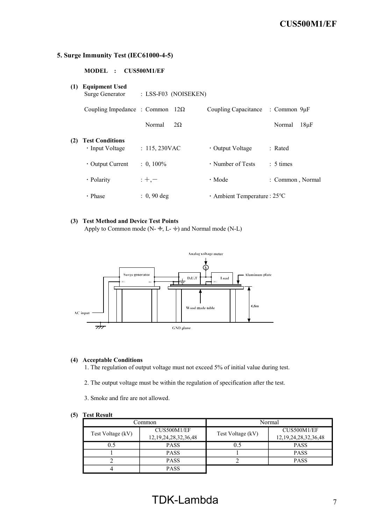# 5. Surge Immunity Test (IEC61000-4-5)

MODEL : CUS500M1/EF

| (1) | <b>Equipment Used</b><br>Surge Generator  |               | $: LSS-F03$ (NOISEKEN) |                                                       |                     |
|-----|-------------------------------------------|---------------|------------------------|-------------------------------------------------------|---------------------|
|     | Coupling Impedance : Common $12\Omega$    |               |                        | Coupling Capacitance : Common 9µF                     |                     |
|     |                                           | Normal        | $2\Omega$              |                                                       | $18\mu F$<br>Normal |
| (2) | <b>Test Conditions</b><br>• Input Voltage | : 115,230VAC  |                        | • Output Voltage                                      | : Rated             |
|     | $\cdot$ Output Current                    | $: 0, 100\%$  |                        | • Number of Tests                                     | $: 5 \times$        |
|     | · Polarity                                | $: +, -$      |                        | $\cdot$ Mode                                          | : Common, Normal    |
|     | · Phase                                   | $: 0, 90$ deg |                        | $\cdot$ Ambient Temperature : 25 $\mathrm{^{\circ}C}$ |                     |

#### (3) Test Method and Device Test Points

Apply to Common mode (N- $\div$ , L- $\div$ ) and Normal mode (N-L)



#### (4) Acceptable Conditions

1. The regulation of output voltage must not exceed 5% of initial value during test.

- 2. The output voltage must be within the regulation of specification after the test.
- 3. Smoke and fire are not allowed.

|                   | .`ommon                    | Normal            |                            |  |
|-------------------|----------------------------|-------------------|----------------------------|--|
| Test Voltage (kV) | CUS500M1/EF                | Test Voltage (kV) | CUS500M1/EF                |  |
|                   | 12, 19, 24, 28, 32, 36, 48 |                   | 12, 19, 24, 28, 32, 36, 48 |  |
| 0.5               | <b>PASS</b>                | 0.5               | <b>PASS</b>                |  |
|                   | <b>PASS</b>                |                   | <b>PASS</b>                |  |
|                   | <b>PASS</b>                |                   | <b>PASS</b>                |  |
|                   | <b>PASS</b>                |                   |                            |  |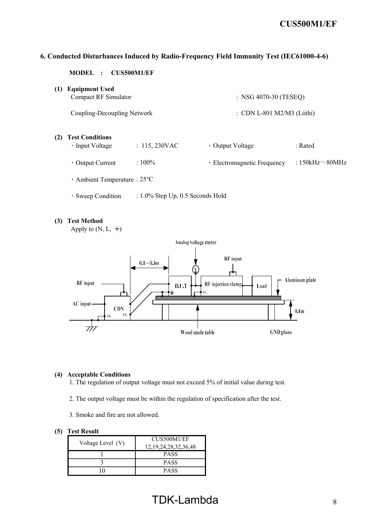# 6. Conducted Disturbances Induced by Radio-Frequency Field Immunity Test (IEC61000-4-6)

MODEL : CUS500M1/EF

(1) Equipment Used Compact RF Simulator : NSG 4070-30 (TESEQ)

Coupling-Decoupling Network : CDN L-801 M2/M3 (Liithi)

# (2) Test Conditions

- Input Voltage : 115, 230VAC Output Voltage : Rated
- Output Current : 100% Electromagnetic Frequency : 150kHz ~ 80MHz
- ・Ambient Temperature : 25℃
- ・Sweep Condition : 1.0% Step Up, 0.5 Seconds Hold

# (3) Test Method

Apply to  $(N, L, \div)$ 



#### (4) Acceptable Conditions

1. The regulation of output voltage must not exceed 5% of initial value during test.

- 2. The output voltage must be within the regulation of specification after the test.
- 3. Smoke and fire are not allowed.

#### (5) Test Result

| Voltage Level (V) | CUS500M1/EF<br>12, 19, 24, 28, 32, 36, 48 |
|-------------------|-------------------------------------------|
|                   | <b>PASS</b>                               |
|                   | <b>PASS</b>                               |
|                   | <b>PASS</b>                               |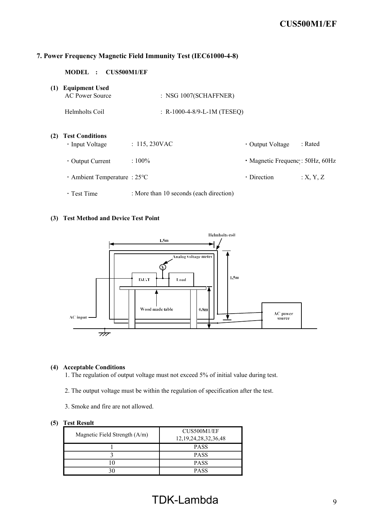# 7. Power Frequency Magnetic Field Immunity Test (IEC61000-4-8)

# MODEL : CUS500M1/EF

| (1) | <b>Equipment Used</b><br><b>AC Power Source</b> | $:$ NSG 1007(SCHAFFNER)                 |                                  |          |
|-----|-------------------------------------------------|-----------------------------------------|----------------------------------|----------|
|     | Helmholts Coil                                  | : R-1000-4-8/9-L-1M (TESEQ)             |                                  |          |
| (2) | <b>Test Conditions</b><br>• Input Voltage       | : 115,230VAC                            | • Output Voltage                 | : Rated  |
|     | $\cdot$ Output Current                          | $\cdot 100\%$                           | · Magnetic Frequence: 50Hz, 60Hz |          |
|     | $\cdot$ Ambient Temperature : 25 °C             |                                         | $\cdot$ Direction                | :X, Y, Z |
|     | $\cdot$ Test Time                               | : More than 10 seconds (each direction) |                                  |          |

# (3) Test Method and Device Test Point



#### (4) Acceptable Conditions

1. The regulation of output voltage must not exceed 5% of initial value during test.

- 2. The output voltage must be within the regulation of specification after the test.
- 3. Smoke and fire are not allowed.

| Magnetic Field Strength $(A/m)$ | CUS500M1/EF<br>12, 19, 24, 28, 32, 36, 48 |
|---------------------------------|-------------------------------------------|
|                                 | <b>PASS</b>                               |
|                                 | <b>PASS</b>                               |
|                                 | <b>PASS</b>                               |
|                                 | <b>PASS</b>                               |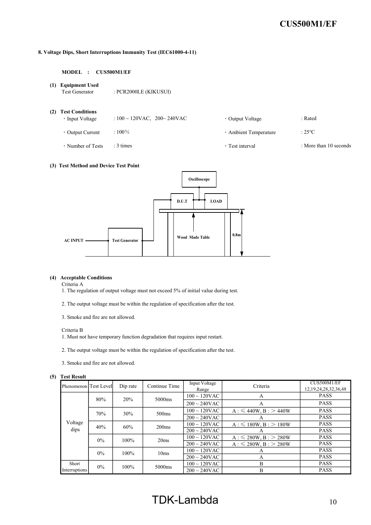#### 8. Voltage Dips, Short Interruptions Immunity Test (IEC61000-4-11)

#### MODEL : CUS500M1/EF

(1) Equipment Used

Test Generator : PCR2000LE (KIKUSUI)

- (2) Test Conditions
	- Input Voltage : 100 ~ 120VAC, 200 ~ 240VAC Output Voltage : Rated
		-
	- ・Output Current : 100% ・Ambient Temperature : 25℃

- 
- Number of Tests : 3 times : 3 times : 3 times : 3 times : 1 to than 10 seconds

#### (3) Test Method and Device Test Point



#### (4) Acceptable Conditions

Criteria A

- 1. The regulation of output voltage must not exceed 5% of initial value during test.
- 2. The output voltage must be within the regulation of specification after the test.
- 3. Smoke and fire are not allowed.

#### Criteria B

1. Must not have temporary function degradation that requires input restart.

- 2. The output voltage must be within the regulation of specification after the test.
- 3. Smoke and fire are not allowed.

#### (5) Test Result

| Phenomenon Test Level |       | Dip rate | Continue Time      | Input Voltage      | Criteria                     | CUS500M1/EF                |
|-----------------------|-------|----------|--------------------|--------------------|------------------------------|----------------------------|
|                       |       |          |                    | Range              |                              | 12, 19, 24, 28, 32, 36, 48 |
|                       | 80%   | 20%      | 5000 <sub>ms</sub> | $100 \sim 120$ VAC | A                            | <b>PASS</b>                |
|                       |       |          |                    | $200 \sim 240$ VAC | A                            | <b>PASS</b>                |
|                       | 70%   | 30%      | 500 <sub>ms</sub>  | $100 \sim 120$ VAC | $A: \leq 440W, B: > 440W$    | <b>PASS</b>                |
|                       |       |          |                    | $200 \sim 240$ VAC | A                            | <b>PASS</b>                |
| Voltage               | 40%   | 60%      | 200ms              | $100 \sim 120$ VAC | $A: \leq 180W$ , $B: > 180W$ | <b>PASS</b>                |
| dips                  |       |          |                    | $200 \sim 240$ VAC | A                            | <b>PASS</b>                |
|                       | $0\%$ | $100\%$  | 20ms               | $100 \sim 120$ VAC | $A: \leq 280W, B: > 280W$    | <b>PASS</b>                |
|                       |       |          |                    | $200 \sim 240$ VAC | $A: \leq 280W$ , $B: > 280W$ | <b>PASS</b>                |
|                       | $0\%$ | 100%     | 10ms               | $100 \sim 120$ VAC | A                            | <b>PASS</b>                |
|                       |       |          |                    | $200 \sim 240$ VAC | A                            | <b>PASS</b>                |
| Short                 | $0\%$ | $100\%$  | 5000 <sub>ms</sub> | $100 \sim 120$ VAC | B                            | <b>PASS</b>                |
| Interruptions         |       |          |                    | $200 \sim 240$ VAC | B                            | <b>PASS</b>                |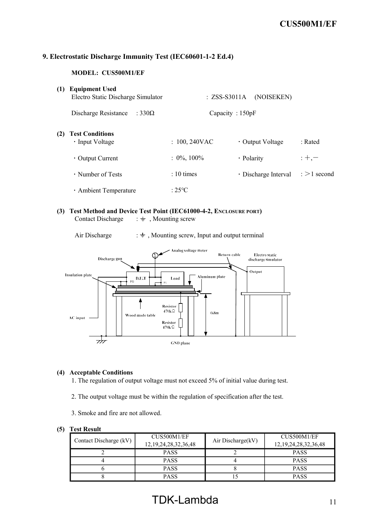# 9. Electrostatic Discharge Immunity Test (IEC60601-1-2 Ed.4)

# MODEL: CUS500M1/EF

| (1) | <b>Equipment Used</b><br>Electro Static Discharge Simulator | $: ZSS-S3011A$     | (NOISEKEN)           |                       |
|-----|-------------------------------------------------------------|--------------------|----------------------|-----------------------|
|     | Discharge Resistance<br>: 330 $\Omega$                      | Capacity : $150pF$ |                      |                       |
| (2) | <b>Test Conditions</b><br>· Input Voltage                   | $: 100, 240$ VAC   | • Output Voltage     | : Rated               |
|     | $\cdot$ Output Current                                      | $: 0\%, 100\%$     | · Polarity           | $: +, -$              |
|     | • Number of Tests                                           | $: 10 \times$      | · Discharge Interval | $\epsilon > 1$ second |
|     | · Ambient Temperature                                       | $:25^{\circ}C$     |                      |                       |

- (3) Test Method and Device Test Point (IEC61000-4-2, ENCLOSURE PORT) Contact Discharge  $\;\; : \; \frac{1}{x}$ , Mounting screw
	-

Air Discharge  $: \div$ , Mounting screw, Input and output terminal



### (4) Acceptable Conditions

- 1. The regulation of output voltage must not exceed 5% of initial value during test.
- 2. The output voltage must be within the regulation of specification after the test.
- 3. Smoke and fire are not allowed.

| Contact Discharge (kV) | CUS500M1/EF<br>12, 19, 24, 28, 32, 36, 48 | Air Discharge(kV) | CUS500M1/EF<br>12, 19, 24, 28, 32, 36, 48 |
|------------------------|-------------------------------------------|-------------------|-------------------------------------------|
|                        | <b>PASS</b>                               |                   | <b>PASS</b>                               |
|                        | <b>PASS</b>                               |                   | <b>PASS</b>                               |
|                        | <b>PASS</b>                               |                   | <b>PASS</b>                               |
|                        | <b>PASS</b>                               |                   | <b>PASS</b>                               |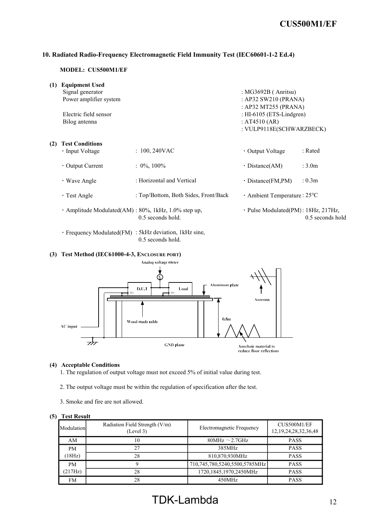# 10. Radiated Radio-Frequency Electromagnetic Field Immunity Test (IEC60601-1-2 Ed.4)

#### MODEL: CUS500M1/EF

| (1) | <b>Equipment Used</b>                               |                                      |                                                       |                    |
|-----|-----------------------------------------------------|--------------------------------------|-------------------------------------------------------|--------------------|
|     | Signal generator                                    |                                      | : $MG3692B$ (Anritsu)                                 |                    |
|     | Power amplifier system                              |                                      | : AP32 SW210 (PRANA)                                  |                    |
|     |                                                     |                                      | : AP32 MT255 (PRANA)                                  |                    |
|     | Electric field sensor                               |                                      | : HI-6105 (ETS-Lindgren)                              |                    |
|     | Bilog antenna                                       |                                      | : $AT4510 (AR)$                                       |                    |
|     |                                                     |                                      | : VULP9118E(SCHWARZBECK)                              |                    |
|     | <b>Test Conditions</b>                              |                                      |                                                       |                    |
| (2) | • Input Voltage                                     | $: 100, 240$ VAC                     | • Output Voltage                                      | : Rated            |
|     |                                                     |                                      |                                                       |                    |
|     | $\cdot$ Output Current                              | $: 0\%$ , 100%                       | $\cdot$ Distance(AM)                                  | : 3.0 <sub>m</sub> |
|     |                                                     |                                      |                                                       |                    |
|     | • Wave Angle                                        | : Horizontal and Vertical            | $\cdot$ Distance(FM,PM)                               | : 0.3 <sub>m</sub> |
|     |                                                     |                                      |                                                       |                    |
|     | · Test Angle                                        | : Top/Bottom, Both Sides, Front/Back | $\cdot$ Ambient Temperature : 25 $\mathrm{^{\circ}C}$ |                    |
|     |                                                     |                                      |                                                       |                    |
|     | · Amplitude Modulated(AM): 80%, 1kHz, 1.0% step up, |                                      | · Pulse Modulated(PM): 18Hz, 217Hz,                   |                    |
|     |                                                     | 0.5 seconds hold.                    |                                                       | 0.5 seconds hold   |

・Frequency Modulated(FM) : 5kHz deviation, 1kHz sine, 0.5 seconds hold.

#### (3) Test Method (IEC61000-4-3, ENCLOSURE PORT)



#### (4) Acceptable Conditions

1. The regulation of output voltage must not exceed 5% of initial value during test.

- 2. The output voltage must be within the regulation of specification after the test.
- 3. Smoke and fire are not allowed.

| Modulation | Radiation Field Strength (V/m)<br>(Level 3) | Electromagnetic Frequency     | CUS500M1/EF<br>12, 19, 24, 28, 32, 36, 48 |
|------------|---------------------------------------------|-------------------------------|-------------------------------------------|
| AM         | 10                                          | 80MHz $\sim$ 2.7GHz           | <b>PASS</b>                               |
| <b>PM</b>  | 27                                          | 385MHz                        | <b>PASS</b>                               |
| 18Hz       | 28                                          | 810,870,930MHz                | <b>PASS</b>                               |
| <b>PM</b>  | Q                                           | 710,745,780,5240,5500,5785MHz | <b>PASS</b>                               |
| (217Hz)    | 28                                          | 1720,1845,1970,2450MHz        | <b>PASS</b>                               |
| <b>FM</b>  | 28                                          | 450MHz                        | <b>PASS</b>                               |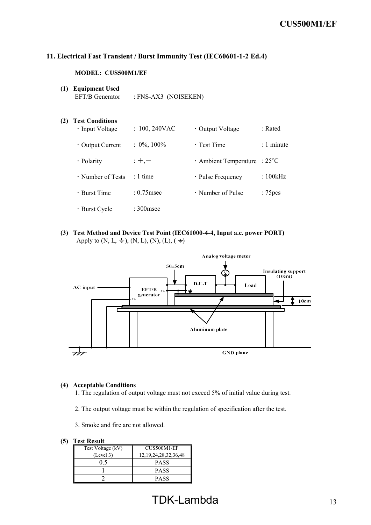# 11. Electrical Fast Transient / Burst Immunity Test (IEC60601-1-2 Ed.4)

MODEL: CUS500M1/EF

(1) Equipment Used EFT/B Generator : FNS-AX3 (NOISEKEN)

| (2) | <b>Test Conditions</b><br>$\cdot$ Input Voltage | $: 100, 240$ VAC | • Output Voltage        | : Rated            |
|-----|-------------------------------------------------|------------------|-------------------------|--------------------|
|     | $\cdot$ Output Current                          | $: 0\%, 100\%$   | $\cdot$ Test Time       | $: 1$ minute       |
|     | • Polarity                                      | $: +, -$         | · Ambient Temperature   | $:25^{\circ}C$     |
|     | $\cdot$ Number of Tests                         | $: 1$ time       | · Pulse Frequency       | :100kHz            |
|     | $\cdot$ Burst Time                              | $: 0.75$ msec    | $\cdot$ Number of Pulse | :75 <sub>pcs</sub> |
|     | • Burst Cycle                                   | $:300$ msec      |                         |                    |

(3) Test Method and Device Test Point (IEC61000-4-4, Input a.c. power PORT) Apply to (N, L,  $\neq$ ), (N, L), (N), (L), ( $\neq$ )



#### (4) Acceptable Conditions

- 1. The regulation of output voltage must not exceed 5% of initial value during test.
- 2. The output voltage must be within the regulation of specification after the test.
- 3. Smoke and fire are not allowed.

| Test Voltage (kV) | CUS500M1/EF                |  |  |  |
|-------------------|----------------------------|--|--|--|
| (Level 3)         | 12, 19, 24, 28, 32, 36, 48 |  |  |  |
| () 5              | <b>PASS</b>                |  |  |  |
|                   | <b>PASS</b>                |  |  |  |
|                   | <b>PASS</b>                |  |  |  |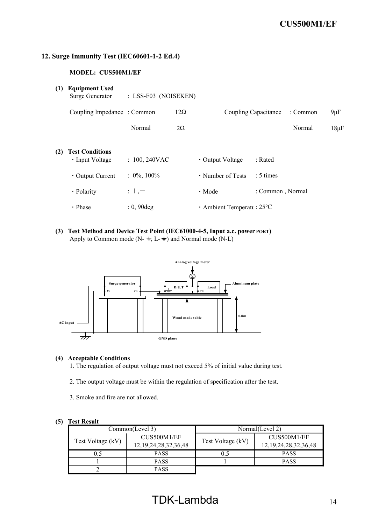# 12. Surge Immunity Test (IEC60601-1-2 Ed.4)

# MODEL: CUS500M1/EF

| (1)                                                                                                                                                   | <b>Equipment Used</b><br>Surge Generator | : LSS-F03 (NOISEKEN) |                      |                           |                      |          |           |
|-------------------------------------------------------------------------------------------------------------------------------------------------------|------------------------------------------|----------------------|----------------------|---------------------------|----------------------|----------|-----------|
|                                                                                                                                                       | Coupling Impedance : Common              |                      | $12\Omega$           |                           | Coupling Capacitance | : Common | $9 \mu F$ |
|                                                                                                                                                       |                                          | Normal               | $2\Omega$            |                           |                      | Normal   | $18\mu$ F |
| (2)                                                                                                                                                   | <b>Test Conditions</b>                   |                      |                      |                           |                      |          |           |
|                                                                                                                                                       | · Input Voltage                          | $: 100, 240$ VAC     |                      | • Output Voltage          | : Rated              |          |           |
|                                                                                                                                                       | · Output Current                         | $: 0\%, 100\%$       |                      | · Number of Tests         | : 5 times            |          |           |
|                                                                                                                                                       | · Polarity                               | $: +,-$              |                      | · Mode                    | : Common, Normal     |          |           |
|                                                                                                                                                       | · Phase                                  | $: 0, 90$ deg        |                      | · Ambient Temperatu: 25°C |                      |          |           |
| Test Method and Device Test Point (IEC61000-4-5, Input a.c. power PORT)<br>(3)<br>Apply to Common mode (N- $\neq$ , L- $\neq$ ) and Normal mode (N-L) |                                          |                      |                      |                           |                      |          |           |
|                                                                                                                                                       |                                          |                      | Analog voltage meter |                           |                      |          |           |
| Surge generator<br>Aluminum plate<br>D.U.T<br>Load<br>$_{\rm FG}$<br>FG<br>$_{\rm FG}$                                                                |                                          |                      |                      |                           |                      |          |           |
|                                                                                                                                                       | AC input                                 |                      | Wood made table      | 0.8 <sub>m</sub>          |                      |          |           |



#### (4) Acceptable Conditions

1. The regulation of output voltage must not exceed 5% of initial value during test.

- 2. The output voltage must be within the regulation of specification after the test.
- 3. Smoke and fire are not allowed.

|                   | Common(Level 3)                                 | Normal(Level 2) |                            |  |
|-------------------|-------------------------------------------------|-----------------|----------------------------|--|
| Test Voltage (kV) | CUS500M1/EF                                     |                 | CUS500M1/EF                |  |
|                   | Test Voltage (kV)<br>12, 19, 24, 28, 32, 36, 48 |                 | 12, 19, 24, 28, 32, 36, 48 |  |
| 0.5               | <b>PASS</b>                                     | 0.5             | <b>PASS</b>                |  |
|                   | <b>PASS</b>                                     |                 | <b>PASS</b>                |  |
|                   | <b>PASS</b>                                     |                 |                            |  |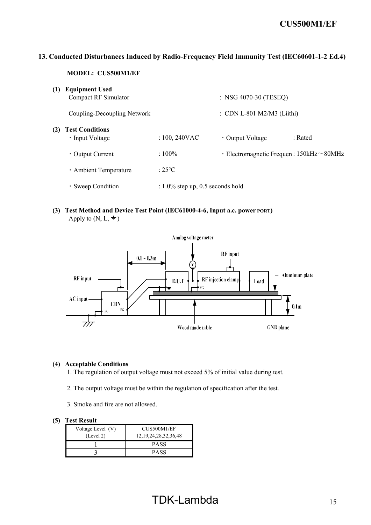# 13. Conducted Disturbances Induced by Radio-Frequency Field Immunity Test (IEC60601-1-2 Ed.4)

# MODEL: CUS500M1/EF

| (1) | <b>Equipment Used</b><br>Compact RF Simulator |                                     | : NSG 4070-30 (TESEQ)                                |         |
|-----|-----------------------------------------------|-------------------------------------|------------------------------------------------------|---------|
|     | Coupling-Decoupling Network                   |                                     | : CDN L-801 M2/M3 (Liithi)                           |         |
| (2) | <b>Test Conditions</b><br>• Input Voltage     | $: 100, 240$ VAC                    | • Output Voltage                                     | : Rated |
|     | $\cdot$ Output Current                        | $\pm 100\%$                         | $\cdot$ Electromagnetic Frequen: 150kHz $\sim$ 80MHz |         |
|     | · Ambient Temperature                         | $:25^{\circ}C$                      |                                                      |         |
|     | · Sweep Condition                             | $: 1.0\%$ step up, 0.5 seconds hold |                                                      |         |
|     |                                               |                                     |                                                      |         |

(3) Test Method and Device Test Point (IEC61000-4-6, Input a.c. power PORT) Apply to  $(N, L, \div)$ 



#### (4) Acceptable Conditions

1. The regulation of output voltage must not exceed 5% of initial value during test.

- 2. The output voltage must be within the regulation of specification after the test.
- 3. Smoke and fire are not allowed.

| Voltage Level (V)<br>(Level 2) | CUS500M1/EF<br>12, 19, 24, 28, 32, 36, 48 |
|--------------------------------|-------------------------------------------|
|                                | <b>PASS</b>                               |
|                                | PASS                                      |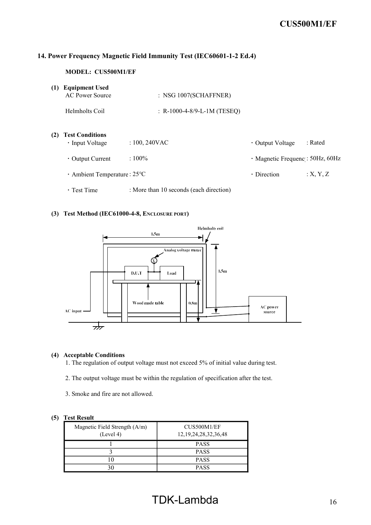# 14. Power Frequency Magnetic Field Immunity Test (IEC60601-1-2 Ed.4)

# MODEL: CUS500M1/EF

|  | (1) | <b>Equipment Used</b> |  |
|--|-----|-----------------------|--|
|--|-----|-----------------------|--|

|     | <b>AC Power Source</b>                                | $:$ NSG 1007(SCHAFFNER)                 |                                 |          |
|-----|-------------------------------------------------------|-----------------------------------------|---------------------------------|----------|
|     | Helmholts Coil                                        | : R-1000-4-8/9-L-1M (TESEQ)             |                                 |          |
| (2) | <b>Test Conditions</b><br>· Input Voltage             | $: 100, 240$ VAC                        | • Output Voltage                | : Rated  |
|     | $\cdot$ Output Current                                | $:100\%$                                | · Magnetic Frequenc: 50Hz, 60Hz |          |
|     | $\cdot$ Ambient Temperature : 25 $\mathrm{^{\circ}C}$ |                                         | $\cdot$ Direction               | :X, Y, Z |
|     | · Test Time                                           | : More than 10 seconds (each direction) |                                 |          |

#### (3) Test Method (IEC61000-4-8, ENCLOSURE PORT)



#### (4) Acceptable Conditions

1. The regulation of output voltage must not exceed 5% of initial value during test.

- 2. The output voltage must be within the regulation of specification after the test.
- 3. Smoke and fire are not allowed.

| Magnetic Field Strength (A/m)<br>(Level 4) | CUS500M1/EF<br>12, 19, 24, 28, 32, 36, 48 |  |
|--------------------------------------------|-------------------------------------------|--|
|                                            | <b>PASS</b>                               |  |
|                                            | <b>PASS</b>                               |  |
|                                            | <b>PASS</b>                               |  |
| 30                                         | <b>PASS</b>                               |  |